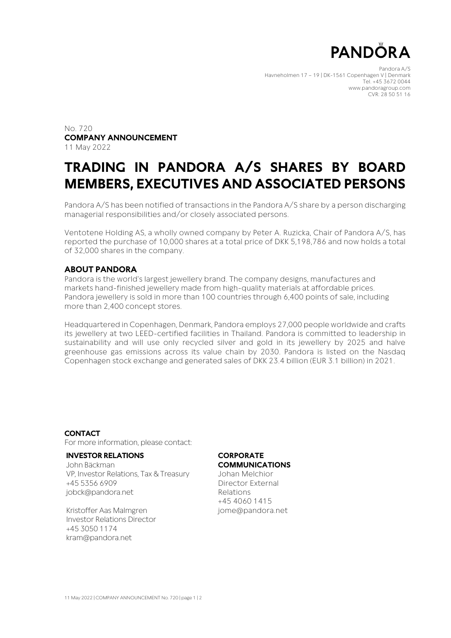

Pandora A/S Havneholmen 17 – 19 | DK-1561 Copenhagen V | Denmark Tel. +45 3672 0044 www.pandoragroup.com CVR: 28 50 51 16

No. 720 **COMPANY ANNOUNCEMENT** 11 May 2022

# **TRADING IN PANDORA A/S SHARES BY BOARD MEMBERS, EXECUTIVES AND ASSOCIATED PERSONS**

Pandora A/S has been notified of transactions in the Pandora A/S share by a person discharging managerial responsibilities and/or closely associated persons.

Ventotene Holding AS, a wholly owned company by Peter A. Ruzicka, Chair of Pandora A/S, has reported the purchase of 10,000 shares at a total price of DKK 5,198,786 and now holds a total of 32,000 shares in the company.

## **ABOUT PANDORA**

Pandora is the world's largest jewellery brand. The company designs, manufactures and markets hand-finished jewellery made from high-quality materials at affordable prices. Pandora jewellery is sold in more than 100 countries through 6,400 points of sale, including more than 2,400 concept stores.

Headquartered in Copenhagen, Denmark, Pandora employs 27,000 people worldwide and crafts its jewellery at two LEED-certified facilities in Thailand. Pandora is committed to leadership in sustainability and will use only recycled silver and gold in its jewellery by 2025 and halve greenhouse gas emissions across its value chain by 2030. Pandora is listed on the Nasdaq Copenhagen stock exchange and generated sales of DKK 23.4 billion (EUR 3.1 billion) in 2021.

### **CONTACT**

For more information, please contact:

#### **INVESTOR RELATIONS**

John Bäckman VP, Investor Relations, Tax & Treasury +45 5356 6909 jobck@pandora.net

Kristoffer Aas Malmgren Investor Relations Director +45 3050 1174 [kram@pandora.net](mailto:kram@pandora.net)

#### **CORPORATE COMMUNICATIONS**

Johan Melchior Director External

Relations +45 4060 1415 jome@pandora.net